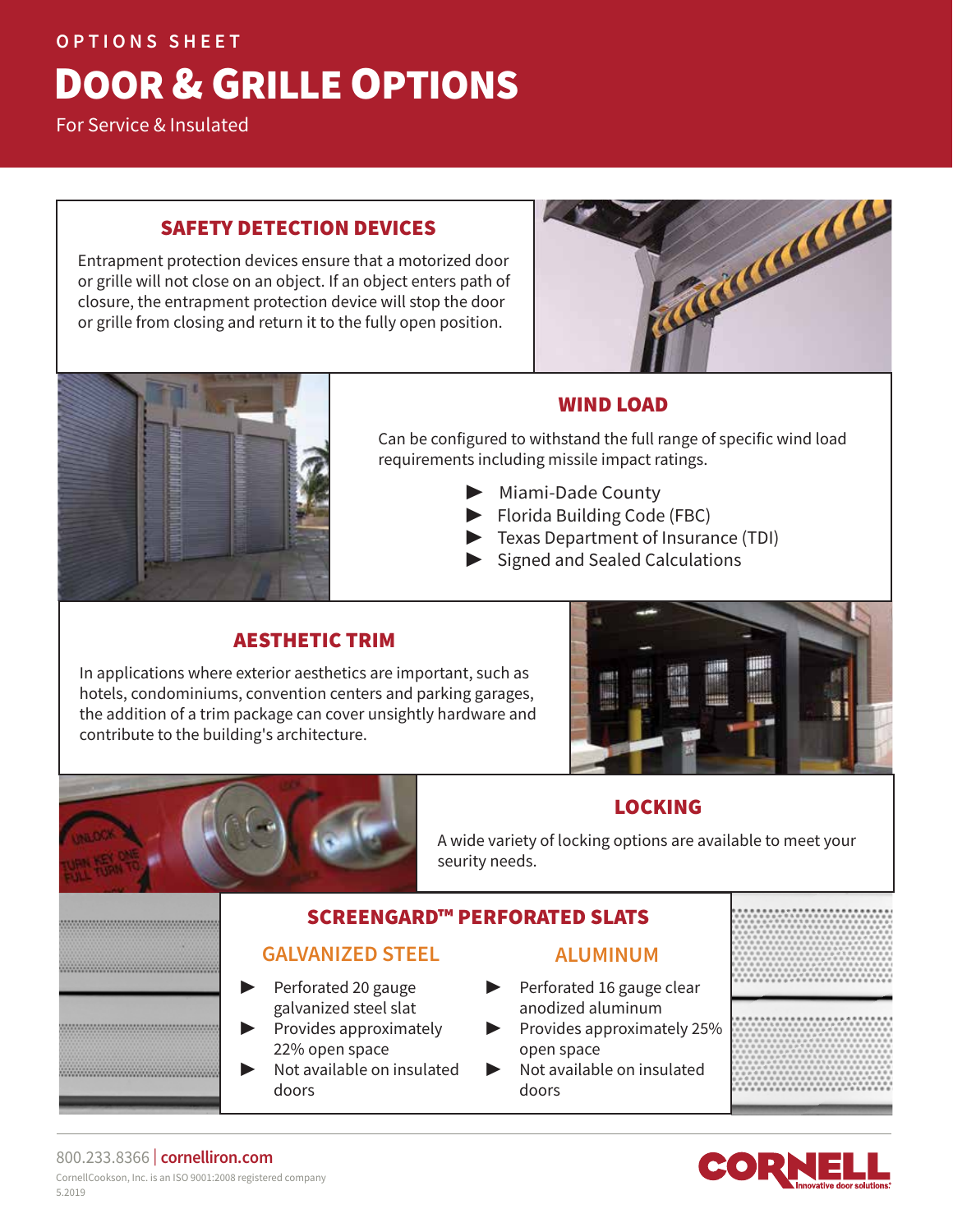#### **OPTIONS SHEET**

# DOOR & GRILLE OPTIONS

For Service & Insulated

#### SAFETY DETECTION DEVICES

Entrapment protection devices ensure that a motorized door or grille will not close on an object. If an object enters path of closure, the entrapment protection device will stop the door or grille from closing and return it to the fully open position.





# WIND LOAD

Can be configured to withstand the full range of specific wind load requirements including missile impact ratings.

- ▶ Miami-Dade County
- ▶ Florida Building Code (FBC)
- ▶ Texas Department of Insurance (TDI)
- ▶ Signed and Sealed Calculations

# AESTHETIC TRIM

In applications where exterior aesthetics are important, such as hotels, condominiums, convention centers and parking garages, the addition of a trim package can cover unsightly hardware and contribute to the building's architecture.



# LOCKING

A wide variety of locking options are available to meet your seurity needs.

# SCREENGARD™ PERFORATED SLATS

#### **GALVANIZED STEEL**

▶ Perforated 20 gauge galvanized steel slat ▶ Provides approximately

▶ Not available on insulated

22% open space

doors

- **ALUMINUM**
- ▶ Perforated 16 gauge clear anodized aluminum
	- ▶ Provides approximately 25% open space
	- ▶ Not available on insulated doors